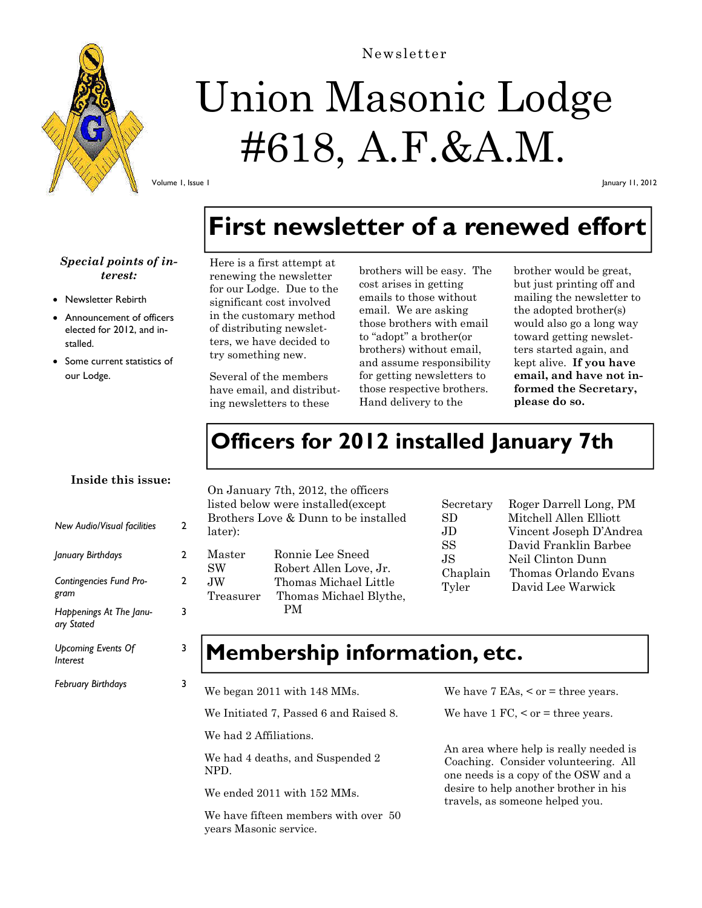

# Union Masonic Lodge

## #618, A.F.&A.M.

Volume 1, Issue 1

January 11, 2012

## **First newsletter of a renewed effort**

#### *Special points of interest:*

- Newsletter Rebirth
- Announcement of officers elected for 2012, and installed.
- Some current statistics of our Lodge.

Here is a first attempt at renewing the newsletter for our Lodge. Due to the significant cost involved in the customary method of distributing newsletters, we have decided to try something new.

Several of the members have email, and distributing newsletters to these

brothers will be easy. The cost arises in getting emails to those without email. We are asking those brothers with email to "adopt" a brother(or brothers) without email, and assume responsibility for getting newsletters to those respective brothers. Hand delivery to the

brother would be great, but just printing off and mailing the newsletter to the adopted brother(s) would also go a long way toward getting newsletters started again, and kept alive. **If you have email, and have not informed the Secretary, please do so.**

## **Officers for 2012 installed January 7th**

#### **Inside this issue:**

| <b>New Audio/Visual facilities</b>    | 2 |
|---------------------------------------|---|
| January Birthdays                     | 2 |
| Contingencies Fund Pro-<br>gram       | 2 |
| Happenings At The Janu-<br>ary Stated | 3 |
| Upcoming Events Of<br>Interest        |   |
| <b>February Birthdays</b>             |   |
|                                       |   |

On January 7th, 2012, the officers listed below were installed(except Brothers Love & Dunn to be installed later):

| Master    | Ronnie Lee Sneed       |
|-----------|------------------------|
| <b>SW</b> | Robert Allen Love, Jr. |
| JW.       | Thomas Michael Little  |
| Treasurer | Thomas Michael Blythe, |
|           | PМ                     |

| Secretary | Roger Darrell Long, PM  |
|-----------|-------------------------|
| SD.       | Mitchell Allen Elliott  |
| JD.       | Vincent Joseph D'Andrea |
| SS        | David Franklin Barbee   |
| JS.       | Neil Clinton Dunn       |
| Chaplain  | Thomas Orlando Evans    |
| Tyler     | David Lee Warwick       |
|           |                         |

#### **Membership information, etc.**

We began 2011 with 148 MMs.

We Initiated 7, Passed 6 and Raised 8.

We had 2 Affiliations.

We had 4 deaths, and Suspended 2 NPD.

We ended 2011 with 152 MMs.

We have fifteen members with over 50 years Masonic service.

We have 7 EAs,  $\leq$  or  $=$  three years.

We have  $1 \text{ FC}, \leq \text{ or } = \text{ three years}.$ 

An area where help is really needed is Coaching. Consider volunteering. All one needs is a copy of the OSW and a desire to help another brother in his travels, as someone helped you.

#### Newsletter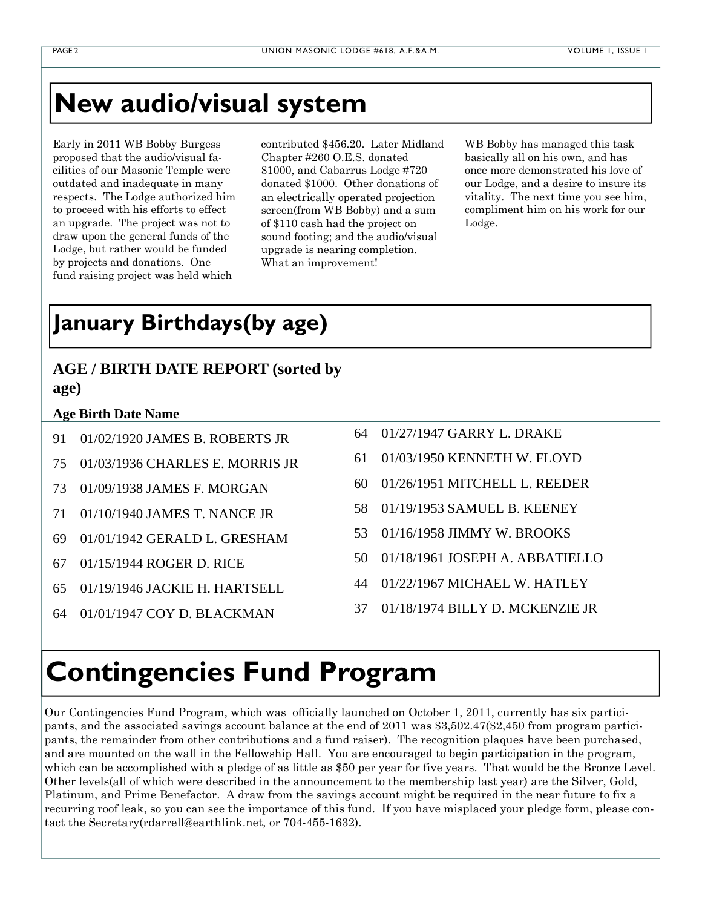## **New audio/visual system**

Early in 2011 WB Bobby Burgess proposed that the audio/visual facilities of our Masonic Temple were outdated and inadequate in many respects. The Lodge authorized him to proceed with his efforts to effect an upgrade. The project was not to draw upon the general funds of the Lodge, but rather would be funded by projects and donations. One fund raising project was held which

contributed \$456.20. Later Midland Chapter #260 O.E.S. donated \$1000, and Cabarrus Lodge #720 donated \$1000. Other donations of an electrically operated projection screen(from WB Bobby) and a sum of \$110 cash had the project on sound footing; and the audio/visual upgrade is nearing completion. What an improvement!

WB Bobby has managed this task basically all on his own, and has once more demonstrated his love of our Lodge, and a desire to insure its vitality. The next time you see him, compliment him on his work for our Lodge.

## **January Birthdays(by age)**

#### **AGE / BIRTH DATE REPORT (sorted by age)**

#### **Age Birth Date Name**

- 91 01/02/1920 JAMES B. ROBERTS JR
- 75 01/03/1936 CHARLES E. MORRIS JR
- 73 01/09/1938 JAMES F. MORGAN
- 71 01/10/1940 JAMES T. NANCE JR
- 69 01/01/1942 GERALD L. GRESHAM
- 67 01/15/1944 ROGER D. RICE
- 65 01/19/1946 JACKIE H. HARTSELL
- 64 01/01/1947 COY D. BLACKMAN
- 64 01/27/1947 GARRY L. DRAKE
- 61 01/03/1950 KENNETH W. FLOYD
- 60 01/26/1951 MITCHELL L. REEDER
- 58 01/19/1953 SAMUEL B. KEENEY
- 53 01/16/1958 JIMMY W. BROOKS
- 50 01/18/1961 JOSEPH A. ABBATIELLO
- 44 01/22/1967 MICHAEL W. HATLEY
- 37 01/18/1974 BILLY D. MCKENZIE JR

## **Contingencies Fund Program**

Our Contingencies Fund Program, which was officially launched on October 1, 2011, currently has six participants, and the associated savings account balance at the end of 2011 was \$3,502.47(\$2,450 from program participants, the remainder from other contributions and a fund raiser). The recognition plaques have been purchased, and are mounted on the wall in the Fellowship Hall. You are encouraged to begin participation in the program, which can be accomplished with a pledge of as little as \$50 per year for five years. That would be the Bronze Level. Other levels(all of which were described in the announcement to the membership last year) are the Silver, Gold, Platinum, and Prime Benefactor. A draw from the savings account might be required in the near future to fix a recurring roof leak, so you can see the importance of this fund. If you have misplaced your pledge form, please contact the Secretary(rdarrell@earthlink.net, or 704-455-1632).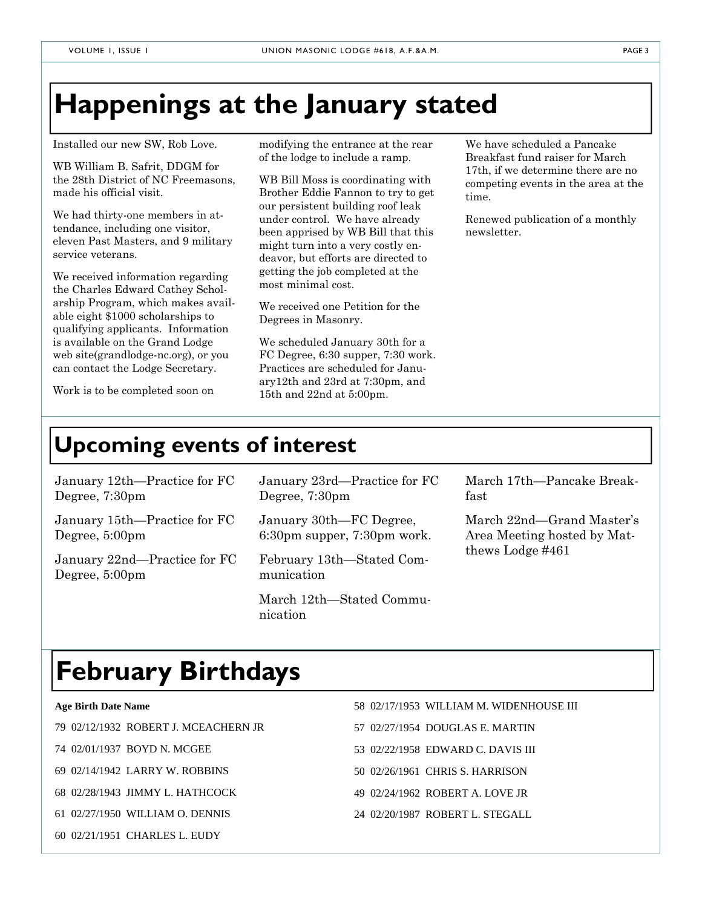## **Happenings at the January stated**

Installed our new SW, Rob Love.

WB William B. Safrit, DDGM for the 28th District of NC Freemasons, made his official visit.

We had thirty-one members in attendance, including one visitor, eleven Past Masters, and 9 military service veterans.

We received information regarding the Charles Edward Cathey Scholarship Program, which makes available eight \$1000 scholarships to qualifying applicants. Information is available on the Grand Lodge web site(grandlodge-nc.org), or you can contact the Lodge Secretary.

Work is to be completed soon on

modifying the entrance at the rear of the lodge to include a ramp.

WB Bill Moss is coordinating with Brother Eddie Fannon to try to get our persistent building roof leak under control. We have already been apprised by WB Bill that this might turn into a very costly endeavor, but efforts are directed to getting the job completed at the most minimal cost.

We received one Petition for the Degrees in Masonry.

We scheduled January 30th for a FC Degree, 6:30 supper, 7:30 work. Practices are scheduled for January12th and 23rd at 7:30pm, and 15th and 22nd at 5:00pm.

We have scheduled a Pancake Breakfast fund raiser for March 17th, if we determine there are no competing events in the area at the time.

Renewed publication of a monthly newsletter.

#### **Upcoming events of interest**

| January 12th—Practice for FC<br>Degree, 7:30pm           | January 23rd—Practice for FC<br>Degree, 7:30pm         | March 17th-Pancake Break-<br>fast                                            |
|----------------------------------------------------------|--------------------------------------------------------|------------------------------------------------------------------------------|
| January 15th—Practice for FC<br>Degree, 5:00pm           | January 30th—FC Degree,<br>6:30pm supper, 7:30pm work. | March 22nd-Grand Master's<br>Area Meeting hosted by Mat-<br>thews Lodge #461 |
| January 22nd—Practice for FC<br>Degree, $5:00 \text{pm}$ | February 13th—Stated Com-<br>munication                |                                                                              |
|                                                          | March 12th—Stated Commu-<br>nication                   |                                                                              |

## **February Birthdays**

**Age Birth Date Name** 

79 02/12/1932 ROBERT J. MCEACHERN JR

74 02/01/1937 BOYD N. MCGEE

69 02/14/1942 LARRY W. ROBBINS

- 68 02/28/1943 JIMMY L. HATHCOCK
- 61 02/27/1950 WILLIAM O. DENNIS
- 60 02/21/1951 CHARLES L. EUDY
- 58 02/17/1953 WILLIAM M. WIDENHOUSE III
- 57 02/27/1954 DOUGLAS E. MARTIN
- 53 02/22/1958 EDWARD C. DAVIS III
- 50 02/26/1961 CHRIS S. HARRISON
- 49 02/24/1962 ROBERT A. LOVE JR
- 24 02/20/1987 ROBERT L. STEGALL